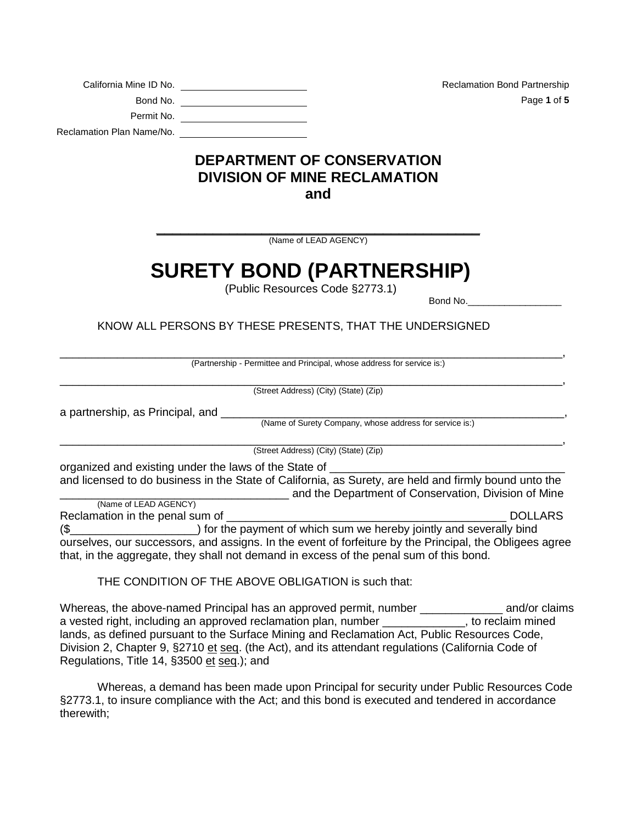| California Mine ID No.    | <b>Reclamation Bond Partnership</b> |
|---------------------------|-------------------------------------|
| Bond No.                  | Page 1 of 5                         |
| Permit No.                |                                     |
| Reclamation Plan Name/No. |                                     |

## **DEPARTMENT OF CONSERVATION DIVISION OF MINE RECLAMATION and**

**\_\_\_\_\_\_\_\_\_\_\_\_\_\_\_\_\_\_\_\_\_\_\_\_\_\_\_\_\_\_\_\_\_\_\_\_\_\_\_\_** (Name of LEAD AGENCY)

## **SURETY BOND (PARTNERSHIP)**

(Public Resources Code §2773.1)

Bond No.

KNOW ALL PERSONS BY THESE PRESENTS, THAT THE UNDERSIGNED

\_\_\_\_\_\_\_\_\_\_\_\_\_\_\_\_\_\_\_\_\_\_\_\_\_\_\_\_\_\_\_\_\_\_\_\_\_\_\_\_\_\_\_\_\_\_\_\_\_\_\_\_\_\_\_\_\_\_\_\_\_\_\_\_\_\_\_\_\_\_\_\_\_\_\_\_\_\_\_, (Partnership - Permittee and Principal, whose address for service is:)

\_\_\_\_\_\_\_\_\_\_\_\_\_\_\_\_\_\_\_\_\_\_\_\_\_\_\_\_\_\_\_\_\_\_\_\_\_\_\_\_\_\_\_\_\_\_\_\_\_\_\_\_\_\_\_\_\_\_\_\_\_\_\_\_\_\_\_\_\_\_\_\_\_\_\_\_\_\_\_, (Street Address) (City) (State) (Zip)

a partnership, as Principal, and

(Name of Surety Company, whose address for service is:)

\_\_\_\_\_\_\_\_\_\_\_\_\_\_\_\_\_\_\_\_\_\_\_\_\_\_\_\_\_\_\_\_\_\_\_\_\_\_\_\_\_\_\_\_\_\_\_\_\_\_\_\_\_\_\_\_\_\_\_\_\_\_\_\_\_\_\_\_\_\_\_\_\_\_\_\_\_\_\_, (Street Address) (City) (State) (Zip)

organized and existing under the laws of the State of and licensed to do business in the State of California, as Surety, are held and firmly bound unto the **\_\_\_\_\_\_\_\_\_** and the Department of Conservation, Division of Mine

(Name of LEAD AGENCY) Reclamation in the penal sum of \_\_\_\_\_\_\_\_\_\_\_\_\_\_\_\_\_\_\_\_\_\_\_\_\_\_\_\_\_\_\_\_\_\_\_\_\_\_\_\_\_\_\_\_ DOLLARS (\$\_\_\_\_\_\_\_\_\_\_\_\_\_\_\_\_\_\_\_\_) for the payment of which sum we hereby jointly and severally bind ourselves, our successors, and assigns. In the event of forfeiture by the Principal, the Obligees agree that, in the aggregate, they shall not demand in excess of the penal sum of this bond.

THE CONDITION OF THE ABOVE OBLIGATION is such that:

Whereas, the above-named Principal has an approved permit, number \_\_\_\_\_\_\_\_\_\_\_\_\_\_ and/or claims a vested right, including an approved reclamation plan, number \_\_\_\_\_\_\_\_\_\_\_\_\_, to reclaim mined lands, as defined pursuant to the Surface Mining and Reclamation Act, Public Resources Code, Division 2, Chapter 9, §2710 et seq. (the Act), and its attendant regulations (California Code of Regulations, Title 14, §3500 et seq.); and

Whereas, a demand has been made upon Principal for security under Public Resources Code §2773.1, to insure compliance with the Act; and this bond is executed and tendered in accordance therewith;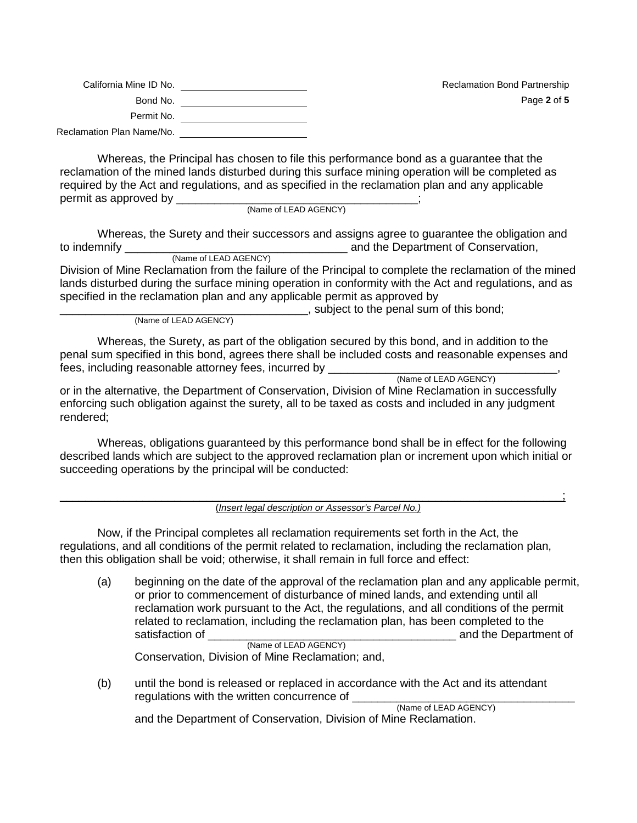| California Mine ID No.    | <b>Reclamation Bond Partnership</b> |
|---------------------------|-------------------------------------|
| Bond No.                  | Page 2 of 5                         |
| Permit No.                |                                     |
| Reclamation Plan Name/No. |                                     |

Whereas, the Principal has chosen to file this performance bond as a guarantee that the reclamation of the mined lands disturbed during this surface mining operation will be completed as required by the Act and regulations, and as specified in the reclamation plan and any applicable permit as approved by \_\_\_\_\_\_\_\_\_\_\_\_\_\_\_\_\_\_\_\_\_\_\_\_\_\_\_\_\_\_\_\_\_\_\_\_\_\_;

(Name of LEAD AGENCY)

Whereas, the Surety and their successors and assigns agree to guarantee the obligation and to indemnify \_\_\_\_\_\_\_\_\_\_\_\_\_\_\_\_\_\_\_\_\_\_\_\_\_\_\_\_\_\_\_\_\_\_\_ and the Department of Conservation,

(Name of LEAD AGENCY) Division of Mine Reclamation from the failure of the Principal to complete the reclamation of the mined lands disturbed during the surface mining operation in conformity with the Act and regulations, and as specified in the reclamation plan and any applicable permit as approved by

> \_\_\_\_\_\_\_\_\_\_\_\_\_\_\_\_\_\_\_\_\_\_\_\_\_\_\_\_\_\_\_\_\_\_\_\_\_\_\_, subject to the penal sum of this bond; (Name of LEAD AGENCY)

Whereas, the Surety, as part of the obligation secured by this bond, and in addition to the penal sum specified in this bond, agrees there shall be included costs and reasonable expenses and fees, including reasonable attorney fees, incurred by \_\_\_\_\_\_\_\_\_\_\_\_\_\_\_\_\_\_\_\_\_\_\_\_\_\_<br>(Name of LEAD AGENCY)

or in the alternative, the Department of Conservation, Division of Mine Reclamation in successfully enforcing such obligation against the surety, all to be taxed as costs and included in any judgment rendered;

Whereas, obligations guaranteed by this performance bond shall be in effect for the following described lands which are subject to the approved reclamation plan or increment upon which initial or succeeding operations by the principal will be conducted:

 $\frac{1}{2}$ (*Insert legal description or Assessor's Parcel No.)*

Now, if the Principal completes all reclamation requirements set forth in the Act, the regulations, and all conditions of the permit related to reclamation, including the reclamation plan, then this obligation shall be void; otherwise, it shall remain in full force and effect:

(a) beginning on the date of the approval of the reclamation plan and any applicable permit, or prior to commencement of disturbance of mined lands, and extending until all reclamation work pursuant to the Act, the regulations, and all conditions of the permit related to reclamation, including the reclamation plan, has been completed to the satisfaction of satisfaction of  $\alpha$  and the Department of (Name of LEAD AGENCY)

Conservation, Division of Mine Reclamation; and,

(b) until the bond is released or replaced in accordance with the Act and its attendant regulations with the written concurrence of \_\_\_\_\_\_\_\_\_\_\_\_\_\_\_\_\_\_\_\_\_\_\_\_\_\_\_\_\_\_\_\_\_\_\_ (Name of LEAD AGENCY)

and the Department of Conservation, Division of Mine Reclamation.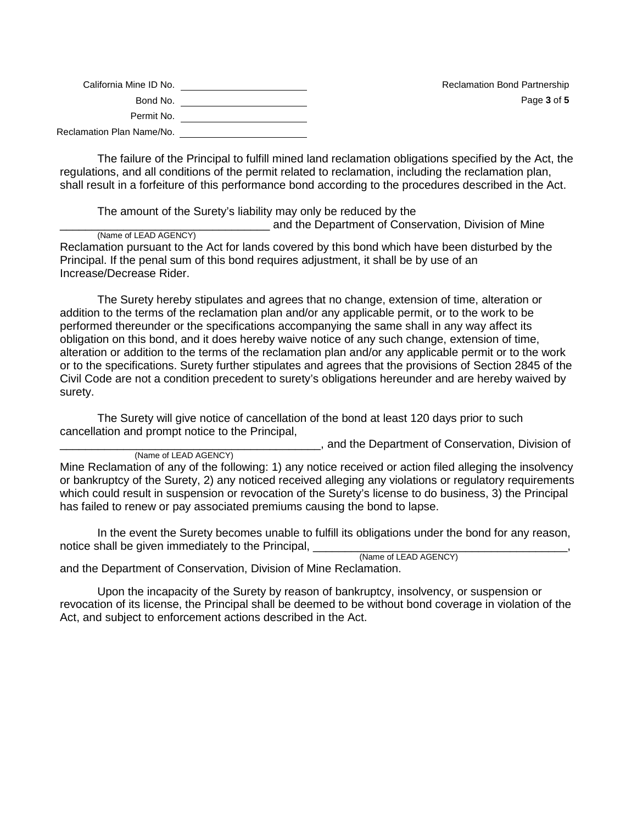| California Mine ID No.    | <b>Reclamation Bond Partnership</b> |
|---------------------------|-------------------------------------|
| Bond No.                  | Page 3 of 5                         |
| Permit No.                |                                     |
| Reclamation Plan Name/No. |                                     |

The failure of the Principal to fulfill mined land reclamation obligations specified by the Act, the regulations, and all conditions of the permit related to reclamation, including the reclamation plan, shall result in a forfeiture of this performance bond according to the procedures described in the Act.

The amount of the Surety's liability may only be reduced by the

and the Department of Conservation, Division of Mine (Name of LEAD AGENCY) Reclamation pursuant to the Act for lands covered by this bond which have been disturbed by the

Principal. If the penal sum of this bond requires adjustment, it shall be by use of an Increase/Decrease Rider.

The Surety hereby stipulates and agrees that no change, extension of time, alteration or addition to the terms of the reclamation plan and/or any applicable permit, or to the work to be performed thereunder or the specifications accompanying the same shall in any way affect its obligation on this bond, and it does hereby waive notice of any such change, extension of time, alteration or addition to the terms of the reclamation plan and/or any applicable permit or to the work or to the specifications. Surety further stipulates and agrees that the provisions of Section 2845 of the Civil Code are not a condition precedent to surety's obligations hereunder and are hereby waived by surety.

The Surety will give notice of cancellation of the bond at least 120 days prior to such cancellation and prompt notice to the Principal,

**\_\_\_\_\_**, and the Department of Conservation, Division of

(Name of LEAD AGENCY)

Mine Reclamation of any of the following: 1) any notice received or action filed alleging the insolvency or bankruptcy of the Surety, 2) any noticed received alleging any violations or regulatory requirements which could result in suspension or revocation of the Surety's license to do business, 3) the Principal has failed to renew or pay associated premiums causing the bond to lapse.

In the event the Surety becomes unable to fulfill its obligations under the bond for any reason, notice shall be given immediately to the Principal, \_\_\_\_\_\_\_\_\_\_\_\_\_\_\_\_\_\_\_\_\_\_\_\_\_\_\_\_<br>(Name of LEAD AGENCY)

and the Department of Conservation, Division of Mine Reclamation.

Upon the incapacity of the Surety by reason of bankruptcy, insolvency, or suspension or revocation of its license, the Principal shall be deemed to be without bond coverage in violation of the Act, and subject to enforcement actions described in the Act.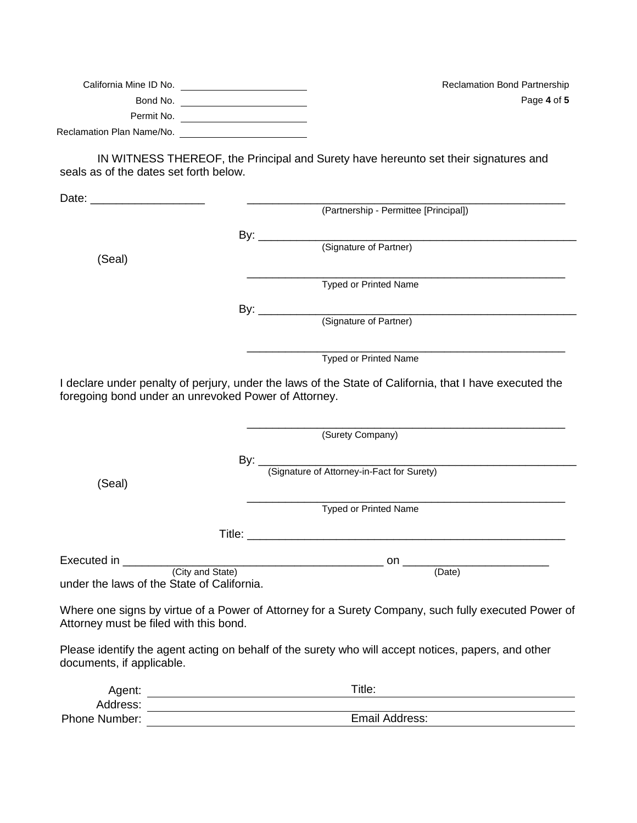| California Mine ID No.    |  |
|---------------------------|--|
| Bond No.                  |  |
| Permit No.                |  |
| Reclamation Plan Name/No. |  |

Reclamation Bond Partnership Page **4** of **5** 

IN WITNESS THEREOF, the Principal and Surety have hereunto set their signatures and seals as of the dates set forth below.

|                                                      | (Partnership - Permittee [Principal])                                                                   |
|------------------------------------------------------|---------------------------------------------------------------------------------------------------------|
|                                                      |                                                                                                         |
|                                                      |                                                                                                         |
| (Seal)                                               |                                                                                                         |
|                                                      | <b>Typed or Printed Name</b>                                                                            |
|                                                      |                                                                                                         |
|                                                      |                                                                                                         |
|                                                      | <b>Typed or Printed Name</b>                                                                            |
| foregoing bond under an unrevoked Power of Attorney. | I declare under penalty of perjury, under the laws of the State of California, that I have executed the |
|                                                      | <u> 1989 - Johann Barbara, margaret eta idazlea (h. 1989).</u><br>(Surety Company)                      |
|                                                      | By: <u>(Signature of Attorney-in-Fact for Surety)</u>                                                   |
| (Seal)                                               |                                                                                                         |
|                                                      |                                                                                                         |
|                                                      | <b>Typed or Printed Name</b>                                                                            |
|                                                      |                                                                                                         |
|                                                      |                                                                                                         |
| under the laws of the State of California.           |                                                                                                         |
| Attorney must be filed with this bond.               | Where one signs by virtue of a Power of Attorney for a Surety Company, such fully executed Power of     |
| documents, if applicable.                            | Please identify the agent acting on behalf of the surety who will accept notices, papers, and other     |

| Agent:               | $\tau$ itle:   |
|----------------------|----------------|
| Address:             |                |
| <b>Phone Number:</b> | Email Address: |